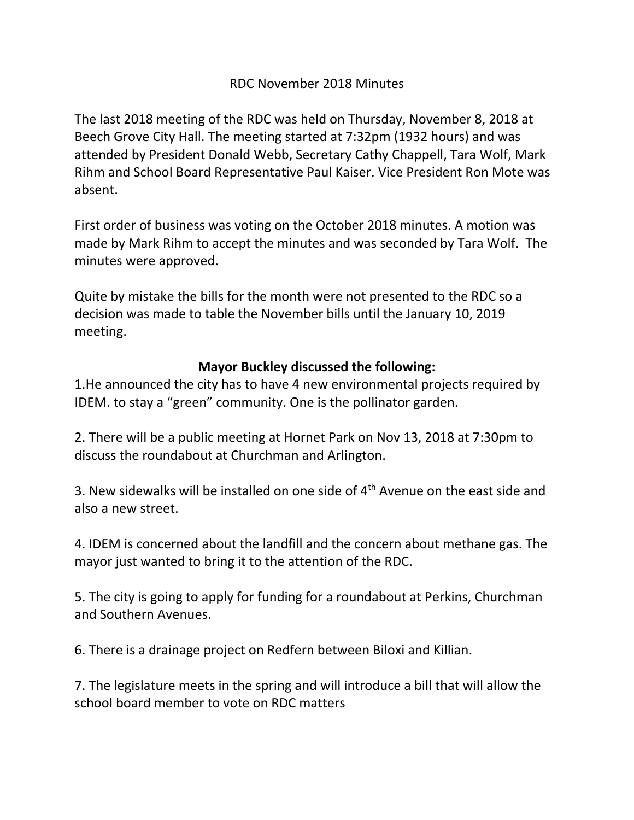## RDC November 2018 Minutes

The last 2018 meeting of the RDC was held on Thursday, November 8, 2018 at Beech Grove City Hall. The meeting started at 7:32pm (1932 hours) and was attended by President Donald Webb, Secretary Cathy Chappell, Tara Wolf, Mark Rihm and School Board Representative Paul Kaiser. Vice President Ron Mote was absent.

First order of business was voting on the October 2018 minutes. A motion was made by Mark Rihm to accept the minutes and was seconded by Tara Wolf. The minutes were approved.

Quite by mistake the bills for the month were not presented to the RDC so a decision was made to table the November bills until the January 10, 2019 meeting.

## **Mayor Buckley discussed the following:**

1.He announced the city has to have 4 new environmental projects required by IDEM. to stay a "green" community. One is the pollinator garden.

2. There will be a public meeting at Hornet Park on Nov 13, 2018 at 7:30pm to discuss the roundabout at Churchman and Arlington.

3. New sidewalks will be installed on one side of  $4<sup>th</sup>$  Avenue on the east side and also a new street.

4. IDEM is concerned about the landfill and the concern about methane gas. The mayor just wanted to bring it to the attention of the RDC.

5. The city is going to apply for funding for a roundabout at Perkins, Churchman and Southern Avenues.

6. There is a drainage project on Redfern between Biloxi and Killian.

7. The legislature meets in the spring and will introduce a bill that will allow the school board member to vote on RDC matters